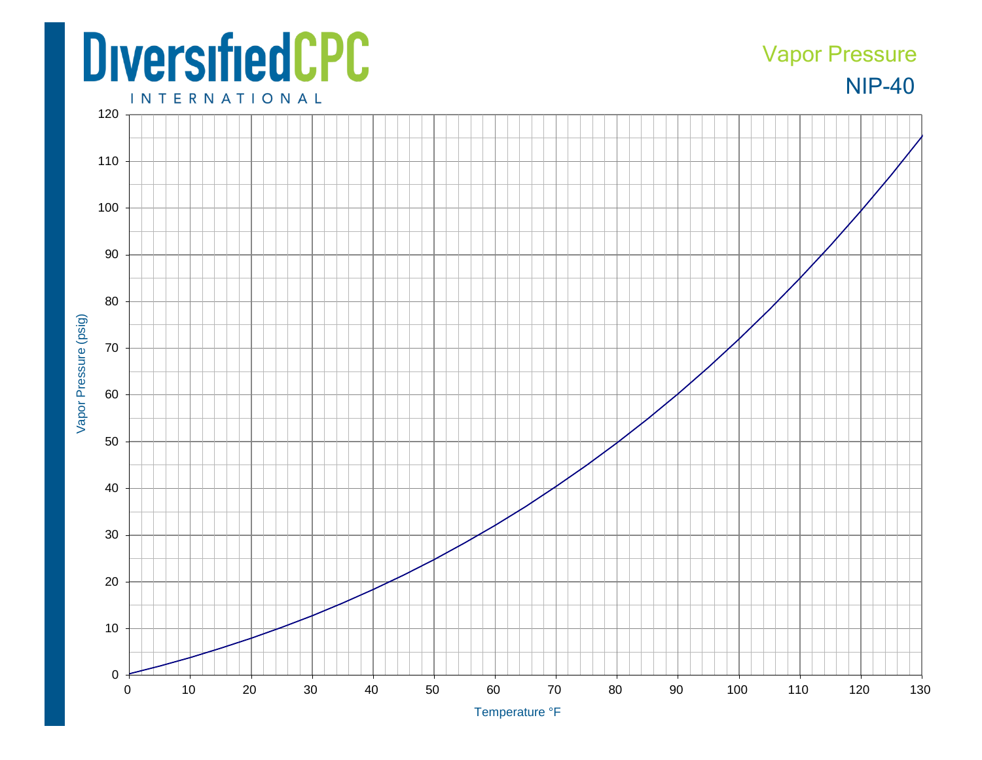## **DiversifiedCPC**

## NIP-40 Vapor Pressure

**INTERNATIONAL**